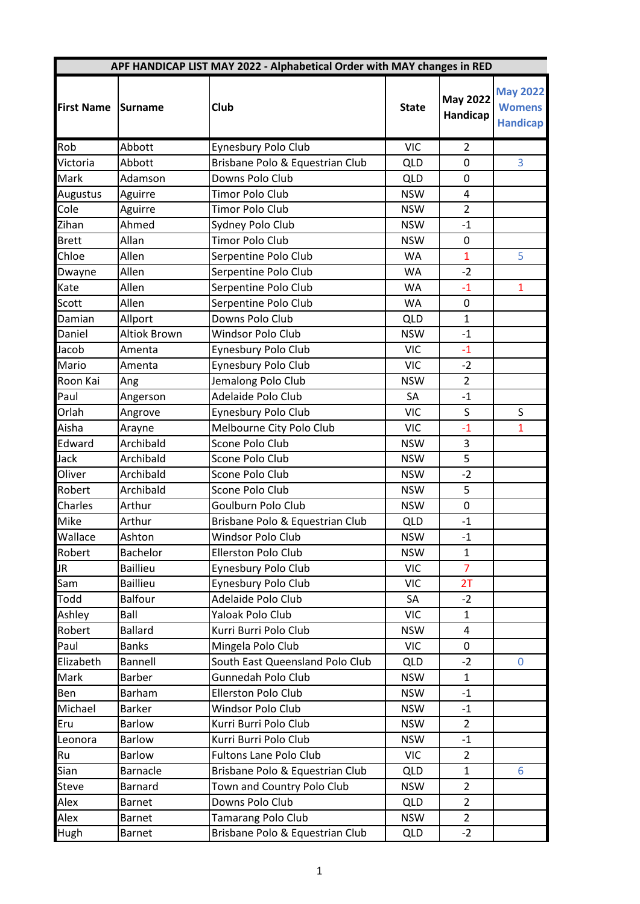|                   |                     | APF HANDICAP LIST MAY 2022 - Alphabetical Order with MAY changes in RED |              |                             |                                                     |
|-------------------|---------------------|-------------------------------------------------------------------------|--------------|-----------------------------|-----------------------------------------------------|
| <b>First Name</b> | Surname             | Club                                                                    | <b>State</b> | <b>May 2022</b><br>Handicap | <b>May 2022</b><br><b>Womens</b><br><b>Handicap</b> |
| Rob               | Abbott              | Eynesbury Polo Club                                                     | <b>VIC</b>   | $\overline{2}$              |                                                     |
| Victoria          | Abbott              | Brisbane Polo & Equestrian Club                                         | <b>QLD</b>   | 0                           | 3                                                   |
| Mark              | Adamson             | Downs Polo Club                                                         | <b>QLD</b>   | $\mathbf 0$                 |                                                     |
| Augustus          | Aguirre             | <b>Timor Polo Club</b>                                                  | <b>NSW</b>   | 4                           |                                                     |
| Cole              | Aguirre             | Timor Polo Club                                                         | <b>NSW</b>   | $\overline{2}$              |                                                     |
| Zihan             | Ahmed               | Sydney Polo Club                                                        | <b>NSW</b>   | $-1$                        |                                                     |
| <b>Brett</b>      | Allan               | <b>Timor Polo Club</b>                                                  | <b>NSW</b>   | $\mathbf 0$                 |                                                     |
| Chloe             | Allen               | Serpentine Polo Club                                                    | WA           | $\mathbf{1}$                | 5                                                   |
| Dwayne            | Allen               | Serpentine Polo Club                                                    | <b>WA</b>    | $-2$                        |                                                     |
| Kate              | Allen               | Serpentine Polo Club                                                    | <b>WA</b>    | $-1$                        | $\mathbf{1}$                                        |
| Scott             | Allen               | Serpentine Polo Club                                                    | <b>WA</b>    | 0                           |                                                     |
| Damian            | Allport             | Downs Polo Club                                                         | <b>QLD</b>   | $\mathbf{1}$                |                                                     |
| Daniel            | <b>Altiok Brown</b> | Windsor Polo Club                                                       | <b>NSW</b>   | $-1$                        |                                                     |
| Jacob             | Amenta              | Eynesbury Polo Club                                                     | <b>VIC</b>   | $-1$                        |                                                     |
| Mario             | Amenta              | Eynesbury Polo Club                                                     | <b>VIC</b>   | $-2$                        |                                                     |
| Roon Kai          | Ang                 | Jemalong Polo Club                                                      | <b>NSW</b>   | $\overline{2}$              |                                                     |
| Paul              | Angerson            | Adelaide Polo Club                                                      | SA           | $-1$                        |                                                     |
| Orlah             | Angrove             | Eynesbury Polo Club                                                     | <b>VIC</b>   | S                           | S                                                   |
| Aisha             | Arayne              | Melbourne City Polo Club                                                | <b>VIC</b>   | $-1$                        | $\mathbf{1}$                                        |
| Edward            | Archibald           | Scone Polo Club                                                         | <b>NSW</b>   | 3                           |                                                     |
| Jack              | Archibald           | Scone Polo Club                                                         | <b>NSW</b>   | 5                           |                                                     |
| Oliver            | Archibald           | Scone Polo Club                                                         | <b>NSW</b>   | $-2$                        |                                                     |
| Robert            | Archibald           | Scone Polo Club                                                         | <b>NSW</b>   | 5                           |                                                     |
| Charles           | Arthur              | Goulburn Polo Club                                                      | <b>NSW</b>   | $\pmb{0}$                   |                                                     |
| Mike              | Arthur              | Brisbane Polo & Equestrian Club                                         | <b>QLD</b>   | $-1$                        |                                                     |
| Wallace           | Ashton              | Windsor Polo Club                                                       | <b>NSW</b>   | $-1$                        |                                                     |
| Robert            | Bachelor            | Ellerston Polo Club                                                     | <b>NSW</b>   | $\mathbf{1}$                |                                                     |
| JR                | <b>Baillieu</b>     | Eynesbury Polo Club                                                     | <b>VIC</b>   | $\overline{7}$              |                                                     |
| Sam               | <b>Baillieu</b>     | Eynesbury Polo Club                                                     | <b>VIC</b>   | 2T                          |                                                     |
| Todd              | <b>Balfour</b>      | Adelaide Polo Club                                                      | SA           | $-2$                        |                                                     |
| Ashley            | Ball                | Yaloak Polo Club                                                        | <b>VIC</b>   | 1                           |                                                     |
| Robert            | <b>Ballard</b>      | Kurri Burri Polo Club                                                   | <b>NSW</b>   | $\overline{4}$              |                                                     |
| Paul              | <b>Banks</b>        | Mingela Polo Club                                                       | <b>VIC</b>   | 0                           |                                                     |
| Elizabeth         | Bannell             | South East Queensland Polo Club                                         | <b>QLD</b>   | $-2$                        | $\mathbf 0$                                         |
| Mark              | <b>Barber</b>       | <b>Gunnedah Polo Club</b>                                               | <b>NSW</b>   | $\mathbf{1}$                |                                                     |
| Ben               | Barham              | Ellerston Polo Club                                                     | <b>NSW</b>   | $-1$                        |                                                     |
| Michael           | <b>Barker</b>       | Windsor Polo Club                                                       | <b>NSW</b>   | $-1$                        |                                                     |
| Eru               | <b>Barlow</b>       | Kurri Burri Polo Club                                                   | <b>NSW</b>   | $\overline{2}$              |                                                     |
| Leonora           | <b>Barlow</b>       | Kurri Burri Polo Club                                                   | <b>NSW</b>   | $-1$                        |                                                     |
| Ru                | <b>Barlow</b>       | Fultons Lane Polo Club                                                  | <b>VIC</b>   | $\overline{2}$              |                                                     |
| Sian              | Barnacle            | Brisbane Polo & Equestrian Club                                         | <b>QLD</b>   | $\mathbf{1}$                | 6                                                   |
| Steve             | Barnard             | Town and Country Polo Club                                              | <b>NSW</b>   | $\overline{2}$              |                                                     |
| Alex              | <b>Barnet</b>       | Downs Polo Club                                                         | <b>QLD</b>   | $\overline{2}$              |                                                     |
| Alex              | <b>Barnet</b>       | <b>Tamarang Polo Club</b>                                               | <b>NSW</b>   | $\overline{2}$              |                                                     |
| Hugh              | <b>Barnet</b>       | Brisbane Polo & Equestrian Club                                         | <b>QLD</b>   | $-2$                        |                                                     |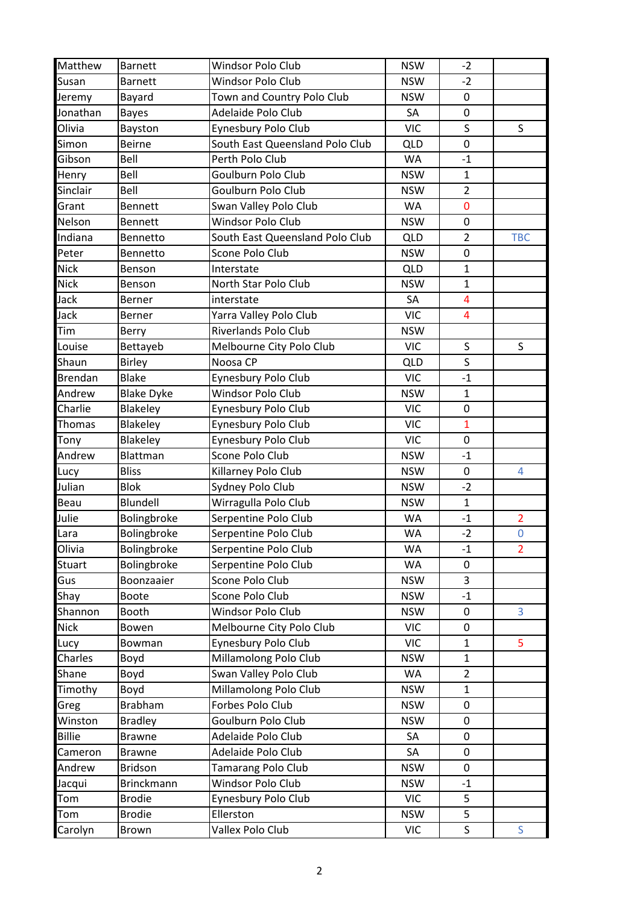| Matthew        | <b>Barnett</b>    | Windsor Polo Club               | <b>NSW</b> | $-2$           |                |
|----------------|-------------------|---------------------------------|------------|----------------|----------------|
| Susan          | <b>Barnett</b>    | Windsor Polo Club               | <b>NSW</b> | $-2$           |                |
| Jeremy         | Bayard            | Town and Country Polo Club      | <b>NSW</b> | $\pmb{0}$      |                |
| Jonathan       | <b>Bayes</b>      | Adelaide Polo Club              | SA         | $\pmb{0}$      |                |
| Olivia         | Bayston           | Eynesbury Polo Club             | <b>VIC</b> | S              | S              |
| Simon          | <b>Beirne</b>     | South East Queensland Polo Club | QLD        | $\mathbf 0$    |                |
| Gibson         | Bell              | Perth Polo Club                 | WA         | $-1$           |                |
| Henry          | Bell              | Goulburn Polo Club              | <b>NSW</b> | $\mathbf 1$    |                |
| Sinclair       | Bell              | Goulburn Polo Club              | <b>NSW</b> | $\overline{2}$ |                |
| Grant          | <b>Bennett</b>    | Swan Valley Polo Club           | WA         | $\pmb{0}$      |                |
| Nelson         | <b>Bennett</b>    | <b>Windsor Polo Club</b>        | <b>NSW</b> | $\pmb{0}$      |                |
| Indiana        | Bennetto          | South East Queensland Polo Club | <b>QLD</b> | $\overline{2}$ | <b>TBC</b>     |
| Peter          | Bennetto          | Scone Polo Club                 | <b>NSW</b> | $\pmb{0}$      |                |
| <b>Nick</b>    | Benson            | Interstate                      | <b>QLD</b> | $\mathbf{1}$   |                |
| <b>Nick</b>    | Benson            | North Star Polo Club            | <b>NSW</b> | $\mathbf{1}$   |                |
| Jack           | Berner            | interstate                      | SA         | $\overline{4}$ |                |
| Jack           | Berner            | Yarra Valley Polo Club          | <b>VIC</b> | $\overline{4}$ |                |
| Tim            | Berry             | <b>Riverlands Polo Club</b>     | <b>NSW</b> |                |                |
| Louise         | Bettayeb          | Melbourne City Polo Club        | <b>VIC</b> | S              | S              |
| Shaun          | <b>Birley</b>     | Noosa CP                        | <b>QLD</b> | $\sf S$        |                |
| <b>Brendan</b> | <b>Blake</b>      | Eynesbury Polo Club             | <b>VIC</b> | $-1$           |                |
| Andrew         | <b>Blake Dyke</b> | Windsor Polo Club               | <b>NSW</b> | $\mathbf 1$    |                |
| Charlie        | Blakeley          | Eynesbury Polo Club             | <b>VIC</b> | $\pmb{0}$      |                |
| Thomas         | Blakeley          | Eynesbury Polo Club             | <b>VIC</b> | $\mathbf{1}$   |                |
| Tony           | Blakeley          | Eynesbury Polo Club             | <b>VIC</b> | $\pmb{0}$      |                |
| Andrew         | Blattman          | Scone Polo Club                 | <b>NSW</b> | $-1$           |                |
| Lucy           | <b>Bliss</b>      | Killarney Polo Club             | <b>NSW</b> | 0              | 4              |
| Julian         | <b>Blok</b>       | Sydney Polo Club                | <b>NSW</b> | $-2$           |                |
| Beau           | Blundell          | Wirragulla Polo Club            | <b>NSW</b> | $\mathbf{1}$   |                |
| Julie          | Bolingbroke       | Serpentine Polo Club            | WA         | $-1$           | $\overline{2}$ |
| Lara           | Bolingbroke       | Serpentine Polo Club            | <b>WA</b>  | $-2$           | $\mathbf 0$    |
| Olivia         | Bolingbroke       | Serpentine Polo Club            | WA         | $-1$           | $\overline{2}$ |
| Stuart         | Bolingbroke       | Serpentine Polo Club            | WA         | 0              |                |
| Gus            | Boonzaaier        | Scone Polo Club                 | <b>NSW</b> | 3              |                |
| Shay           | <b>Boote</b>      | Scone Polo Club                 | <b>NSW</b> | $-1$           |                |
| Shannon        | Booth             | Windsor Polo Club               | <b>NSW</b> | $\pmb{0}$      | 3              |
| <b>Nick</b>    | Bowen             | Melbourne City Polo Club        | <b>VIC</b> | 0              |                |
| Lucy           | Bowman            | Eynesbury Polo Club             | <b>VIC</b> | $\mathbf{1}$   | 5              |
| Charles        | Boyd              | Millamolong Polo Club           | <b>NSW</b> | $\mathbf{1}$   |                |
| Shane          | Boyd              | Swan Valley Polo Club           | WA         | $\overline{2}$ |                |
| Timothy        | Boyd              | Millamolong Polo Club           | <b>NSW</b> | $\mathbf{1}$   |                |
| Greg           | <b>Brabham</b>    | Forbes Polo Club                | <b>NSW</b> | $\pmb{0}$      |                |
| Winston        | <b>Bradley</b>    | Goulburn Polo Club              | <b>NSW</b> | 0              |                |
| <b>Billie</b>  | <b>Brawne</b>     | Adelaide Polo Club              | SA         | $\pmb{0}$      |                |
| Cameron        | <b>Brawne</b>     | Adelaide Polo Club              | SA         | $\mathbf 0$    |                |
| Andrew         | <b>Bridson</b>    | <b>Tamarang Polo Club</b>       | <b>NSW</b> | 0              |                |
| Jacqui         | <b>Brinckmann</b> | Windsor Polo Club               | <b>NSW</b> | $-1$           |                |
| Tom            | <b>Brodie</b>     | Eynesbury Polo Club             | <b>VIC</b> | 5              |                |
| Tom            | <b>Brodie</b>     | Ellerston                       | <b>NSW</b> | 5              |                |
| Carolyn        | Brown             | Vallex Polo Club                | <b>VIC</b> | $\mathsf S$    | S              |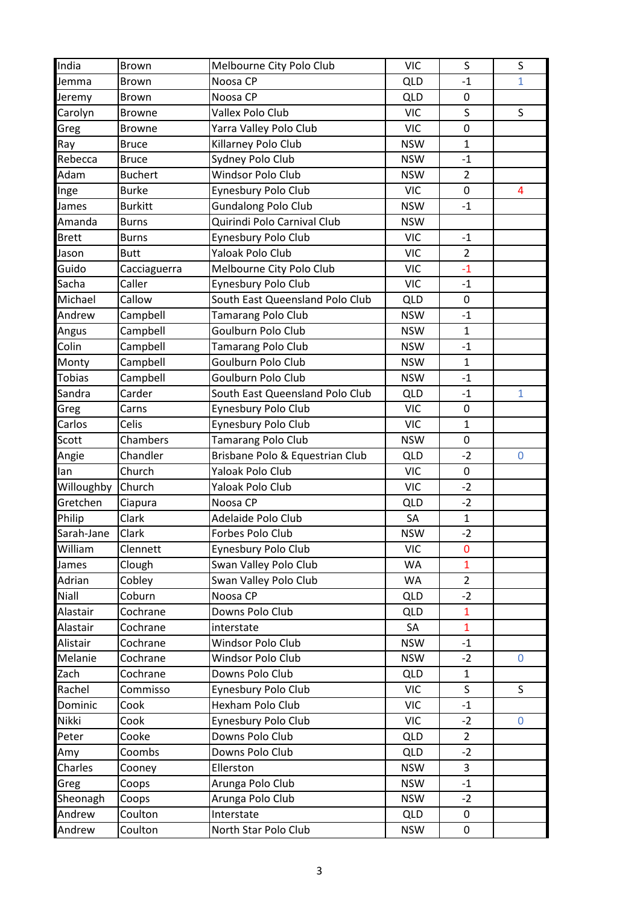| India         | Brown          | Melbourne City Polo Club        | <b>VIC</b> | $\sf S$        | $\sf S$                 |
|---------------|----------------|---------------------------------|------------|----------------|-------------------------|
| Jemma         | <b>Brown</b>   | Noosa CP                        | <b>QLD</b> | $-1$           | 1                       |
| Jeremy        | <b>Brown</b>   | Noosa CP                        | <b>QLD</b> | $\mathbf 0$    |                         |
| Carolyn       | <b>Browne</b>  | Vallex Polo Club                | <b>VIC</b> | $\mathsf S$    | S                       |
| Greg          | <b>Browne</b>  | Yarra Valley Polo Club          | <b>VIC</b> | $\pmb{0}$      |                         |
| Ray           | <b>Bruce</b>   | Killarney Polo Club             | <b>NSW</b> | $\mathbf{1}$   |                         |
| Rebecca       | <b>Bruce</b>   | Sydney Polo Club                | <b>NSW</b> | $-1$           |                         |
| Adam          | <b>Buchert</b> | Windsor Polo Club               | <b>NSW</b> | $\overline{2}$ |                         |
| Inge          | <b>Burke</b>   | Eynesbury Polo Club             | <b>VIC</b> | $\mathbf 0$    | $\overline{\mathbf{4}}$ |
| James         | <b>Burkitt</b> | <b>Gundalong Polo Club</b>      | <b>NSW</b> | $-1$           |                         |
| Amanda        | <b>Burns</b>   | Quirindi Polo Carnival Club     | <b>NSW</b> |                |                         |
| <b>Brett</b>  | <b>Burns</b>   | Eynesbury Polo Club             | <b>VIC</b> | $-1$           |                         |
| Jason         | <b>Butt</b>    | Yaloak Polo Club                | <b>VIC</b> | $\overline{2}$ |                         |
| Guido         | Cacciaguerra   | Melbourne City Polo Club        | <b>VIC</b> | $-1$           |                         |
| Sacha         | Caller         | Eynesbury Polo Club             | <b>VIC</b> | $-1$           |                         |
| Michael       | Callow         | South East Queensland Polo Club | <b>QLD</b> | $\mathbf 0$    |                         |
| Andrew        | Campbell       | Tamarang Polo Club              | <b>NSW</b> | $-1$           |                         |
| Angus         | Campbell       | Goulburn Polo Club              | <b>NSW</b> | $\mathbf{1}$   |                         |
| Colin         | Campbell       | <b>Tamarang Polo Club</b>       | <b>NSW</b> | $-1$           |                         |
| Monty         | Campbell       | Goulburn Polo Club              | <b>NSW</b> | $\mathbf{1}$   |                         |
| <b>Tobias</b> | Campbell       | Goulburn Polo Club              | <b>NSW</b> | $-1$           |                         |
| Sandra        | Carder         | South East Queensland Polo Club | <b>QLD</b> | $-1$           | $\mathbf{1}$            |
| Greg          | Carns          | Eynesbury Polo Club             | <b>VIC</b> | $\pmb{0}$      |                         |
| Carlos        | Celis          | Eynesbury Polo Club             | <b>VIC</b> | $\mathbf{1}$   |                         |
| Scott         | Chambers       | Tamarang Polo Club              | <b>NSW</b> | 0              |                         |
| Angie         | Chandler       | Brisbane Polo & Equestrian Club | <b>QLD</b> | $-2$           | $\mathbf 0$             |
| lan           | Church         | Yaloak Polo Club                | <b>VIC</b> | $\pmb{0}$      |                         |
| Willoughby    | Church         | Yaloak Polo Club                | <b>VIC</b> | $-2$           |                         |
| Gretchen      | Ciapura        | Noosa CP                        | <b>QLD</b> | $-2$           |                         |
| Philip        | Clark          | Adelaide Polo Club              | SA         | $\mathbf 1$    |                         |
| Sarah-Jane    | Clark          | Forbes Polo Club                | <b>NSW</b> | $-2$           |                         |
| William       | Clennett       | Eynesbury Polo Club             | <b>VIC</b> | $\mathbf 0$    |                         |
| James         | Clough         | Swan Valley Polo Club           | WA         | $\mathbf{1}$   |                         |
| Adrian        | Cobley         | Swan Valley Polo Club           | WA         | $\overline{2}$ |                         |
| Niall         | Coburn         | Noosa CP                        | <b>QLD</b> | $-2$           |                         |
| Alastair      | Cochrane       | Downs Polo Club                 | <b>QLD</b> | $\mathbf{1}$   |                         |
| Alastair      | Cochrane       | interstate                      | SA         | $\mathbf{1}$   |                         |
| Alistair      | Cochrane       | Windsor Polo Club               | <b>NSW</b> | $-1$           |                         |
| Melanie       | Cochrane       | Windsor Polo Club               | <b>NSW</b> | $-2$           | 0                       |
| Zach          | Cochrane       | Downs Polo Club                 | <b>QLD</b> | $\mathbf{1}$   |                         |
| Rachel        | Commisso       | Eynesbury Polo Club             | <b>VIC</b> | $\mathsf{S}$   | $\mathsf{S}$            |
| Dominic       | Cook           | Hexham Polo Club                | <b>VIC</b> | $-1$           |                         |
| Nikki         | Cook           | Eynesbury Polo Club             | <b>VIC</b> | $-2$           | 0                       |
| Peter         | Cooke          | Downs Polo Club                 | <b>QLD</b> | $\overline{2}$ |                         |
| Amy           | Coombs         | Downs Polo Club                 | <b>QLD</b> | $-2$           |                         |
| Charles       | Cooney         | Ellerston                       | <b>NSW</b> | 3              |                         |
| Greg          | Coops          | Arunga Polo Club                | <b>NSW</b> | $-1$           |                         |
| Sheonagh      | Coops          | Arunga Polo Club                | <b>NSW</b> | $-2$           |                         |
| Andrew        | Coulton        | Interstate                      | <b>QLD</b> | $\mathbf 0$    |                         |
| Andrew        | Coulton        | North Star Polo Club            | <b>NSW</b> | 0              |                         |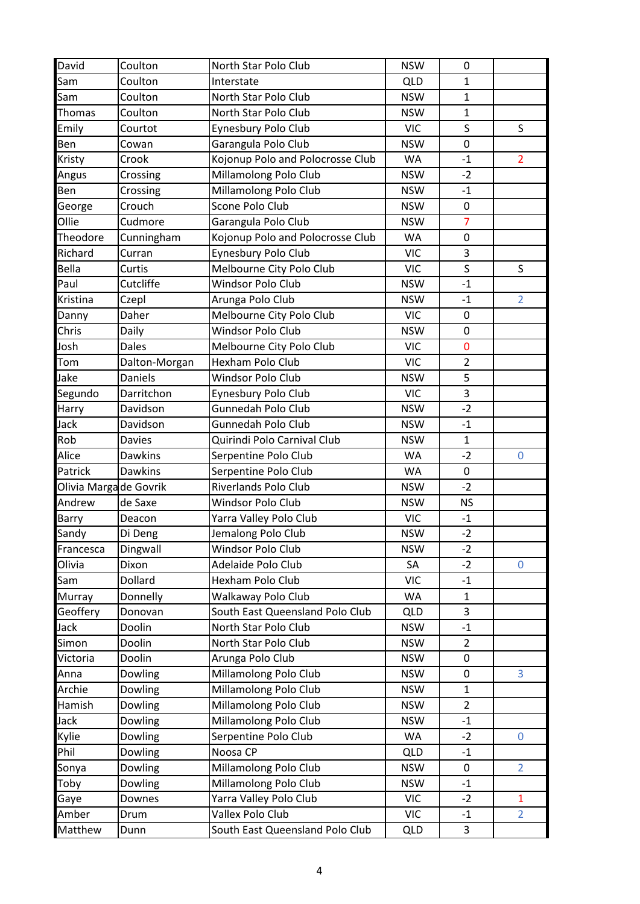| David                  | Coulton        | North Star Polo Club             | <b>NSW</b> | 0              |                |
|------------------------|----------------|----------------------------------|------------|----------------|----------------|
| Sam                    | Coulton        | Interstate                       | <b>QLD</b> | $\mathbf{1}$   |                |
| Sam                    | Coulton        | North Star Polo Club             | <b>NSW</b> | $\mathbf{1}$   |                |
| <b>Thomas</b>          | Coulton        | North Star Polo Club             | <b>NSW</b> | $\mathbf{1}$   |                |
| Emily                  | Courtot        | Eynesbury Polo Club              | <b>VIC</b> | S              | S              |
| Ben                    | Cowan          | Garangula Polo Club              | <b>NSW</b> | $\mathbf 0$    |                |
| Kristy                 | Crook          | Kojonup Polo and Polocrosse Club | WA         | $-1$           | $\overline{2}$ |
| Angus                  | Crossing       | Millamolong Polo Club            | <b>NSW</b> | $-2$           |                |
| Ben                    | Crossing       | Millamolong Polo Club            | <b>NSW</b> | $-1$           |                |
| George                 | Crouch         | Scone Polo Club                  | <b>NSW</b> | $\pmb{0}$      |                |
| Ollie                  | Cudmore        | Garangula Polo Club              | <b>NSW</b> | $\overline{7}$ |                |
| Theodore               | Cunningham     | Kojonup Polo and Polocrosse Club | <b>WA</b>  | $\mathbf 0$    |                |
| Richard                | Curran         | Eynesbury Polo Club              | <b>VIC</b> | 3              |                |
| Bella                  | Curtis         | Melbourne City Polo Club         | <b>VIC</b> | $\sf S$        | S              |
| Paul                   | Cutcliffe      | Windsor Polo Club                | <b>NSW</b> | $-1$           |                |
| Kristina               | Czepl          | Arunga Polo Club                 | <b>NSW</b> | $-1$           | $\overline{2}$ |
| Danny                  | Daher          | Melbourne City Polo Club         | <b>VIC</b> | $\pmb{0}$      |                |
| Chris                  | Daily          | Windsor Polo Club                | <b>NSW</b> | 0              |                |
| Josh                   | Dales          | Melbourne City Polo Club         | <b>VIC</b> | $\mathbf 0$    |                |
| Tom                    | Dalton-Morgan  | Hexham Polo Club                 | <b>VIC</b> | $\overline{2}$ |                |
| Jake                   | Daniels        | Windsor Polo Club                | <b>NSW</b> | 5              |                |
| Segundo                | Darritchon     | Eynesbury Polo Club              | <b>VIC</b> | 3              |                |
| Harry                  | Davidson       | Gunnedah Polo Club               | <b>NSW</b> | $-2$           |                |
| Jack                   | Davidson       | Gunnedah Polo Club               | <b>NSW</b> | $-1$           |                |
| Rob                    | <b>Davies</b>  | Quirindi Polo Carnival Club      | <b>NSW</b> | $\mathbf{1}$   |                |
| Alice                  | Dawkins        | Serpentine Polo Club             | WA         | $-2$           | 0              |
| Patrick                | <b>Dawkins</b> | Serpentine Polo Club             | WA         | 0              |                |
| Olivia Marga de Govrik |                | <b>Riverlands Polo Club</b>      | <b>NSW</b> | $-2$           |                |
| Andrew                 | de Saxe        | <b>Windsor Polo Club</b>         | <b>NSW</b> | <b>NS</b>      |                |
| Barry                  | Deacon         | Yarra Valley Polo Club           | <b>VIC</b> | $-1$           |                |
| Sandy                  | Di Deng        | Jemalong Polo Club               | <b>NSW</b> | $-2$           |                |
| Francesca              | Dingwall       | Windsor Polo Club                | <b>NSW</b> | $-2$           |                |
| Olivia                 | Dixon          | Adelaide Polo Club               | SA         | $-2$           | $\mathbf 0$    |
| Sam                    | Dollard        | Hexham Polo Club                 | <b>VIC</b> | $-1$           |                |
| Murray                 | Donnelly       | Walkaway Polo Club               | WA         | $\mathbf{1}$   |                |
| Geoffery               | Donovan        | South East Queensland Polo Club  | <b>QLD</b> | 3              |                |
| Jack                   | Doolin         | North Star Polo Club             | <b>NSW</b> | $-1$           |                |
| Simon                  | Doolin         | North Star Polo Club             | <b>NSW</b> | $\overline{2}$ |                |
| Victoria               | Doolin         | Arunga Polo Club                 | <b>NSW</b> | 0              |                |
| Anna                   | Dowling        | Millamolong Polo Club            | <b>NSW</b> | $\mathbf 0$    | 3              |
| Archie                 | Dowling        | Millamolong Polo Club            | <b>NSW</b> | $\mathbf{1}$   |                |
| Hamish                 | Dowling        | Millamolong Polo Club            | <b>NSW</b> | $\overline{2}$ |                |
| Jack                   | Dowling        | Millamolong Polo Club            | <b>NSW</b> | $-1$           |                |
| Kylie                  | Dowling        | Serpentine Polo Club             | WA         | $-2$           | $\mathbf 0$    |
| Phil                   | Dowling        | Noosa CP                         | <b>QLD</b> | $-1$           |                |
| Sonya                  | Dowling        | Millamolong Polo Club            | <b>NSW</b> | 0              | $\overline{2}$ |
| Toby                   | Dowling        | Millamolong Polo Club            | <b>NSW</b> | $-1$           |                |
| Gaye                   | Downes         | Yarra Valley Polo Club           | <b>VIC</b> | $-2$           | $\mathbf{1}$   |
| Amber                  | Drum           | Vallex Polo Club                 | <b>VIC</b> | $-1$           | $\overline{2}$ |
| Matthew                | Dunn           | South East Queensland Polo Club  | <b>QLD</b> | 3              |                |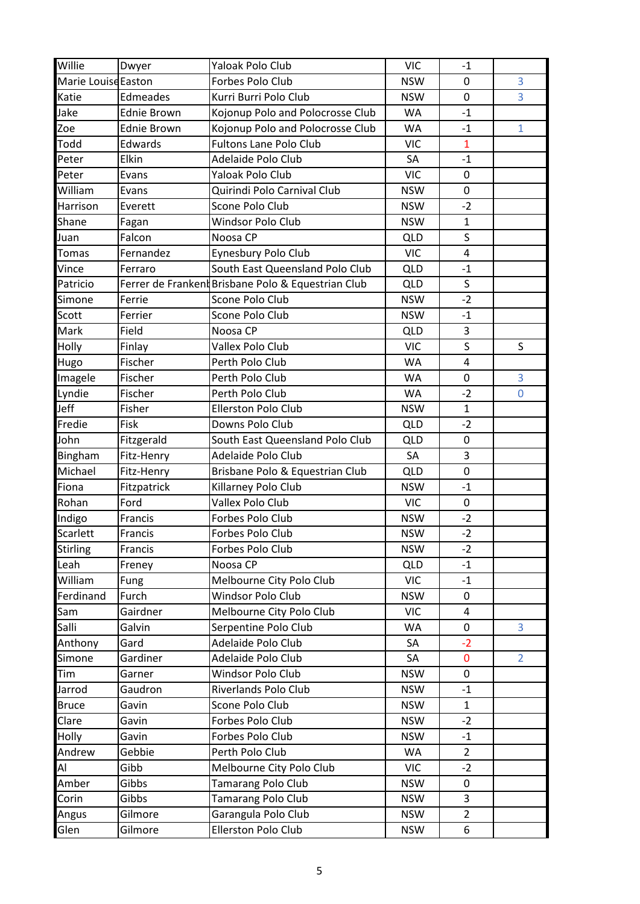| Willie              | Dwyer              | Yaloak Polo Club                                   | <b>VIC</b> | $-1$           |                |
|---------------------|--------------------|----------------------------------------------------|------------|----------------|----------------|
| Marie Louise Easton |                    | Forbes Polo Club                                   | <b>NSW</b> | 0              | 3              |
| Katie               | Edmeades           | Kurri Burri Polo Club                              | <b>NSW</b> | 0              | 3              |
| Jake                | <b>Ednie Brown</b> | Kojonup Polo and Polocrosse Club                   | <b>WA</b>  | $-1$           |                |
| Zoe                 | <b>Ednie Brown</b> | Kojonup Polo and Polocrosse Club                   | WA         | $-1$           | $\mathbf{1}$   |
| Todd                | Edwards            | <b>Fultons Lane Polo Club</b>                      | <b>VIC</b> | $\mathbf{1}$   |                |
| Peter               | Elkin              | Adelaide Polo Club                                 | SA         | $-1$           |                |
| Peter               | Evans              | Yaloak Polo Club                                   | <b>VIC</b> | $\pmb{0}$      |                |
| William             | Evans              | Quirindi Polo Carnival Club                        | <b>NSW</b> | $\mathbf 0$    |                |
| Harrison            | Everett            | Scone Polo Club                                    | <b>NSW</b> | $-2$           |                |
| Shane               | Fagan              | Windsor Polo Club                                  | <b>NSW</b> | $\mathbf{1}$   |                |
| Juan                | Falcon             | Noosa CP                                           | <b>QLD</b> | $\mathsf{S}$   |                |
| <b>Tomas</b>        | Fernandez          | Eynesbury Polo Club                                | <b>VIC</b> | $\overline{4}$ |                |
| Vince               | Ferraro            | South East Queensland Polo Club                    | <b>QLD</b> | $-1$           |                |
| Patricio            |                    | Ferrer de Frankent Brisbane Polo & Equestrian Club | <b>QLD</b> | S              |                |
| Simone              | Ferrie             | Scone Polo Club                                    | <b>NSW</b> | $-2$           |                |
| Scott               | Ferrier            | Scone Polo Club                                    | <b>NSW</b> | $-1$           |                |
| Mark                | Field              | Noosa CP                                           | <b>QLD</b> | 3              |                |
| Holly               | Finlay             | Vallex Polo Club                                   | <b>VIC</b> | S              | S              |
| Hugo                | Fischer            | Perth Polo Club                                    | <b>WA</b>  | $\overline{4}$ |                |
| Imagele             | Fischer            | Perth Polo Club                                    | WA         | $\mathbf 0$    | 3              |
| Lyndie              | Fischer            | Perth Polo Club                                    | WA         | $-2$           | 0              |
| Jeff                | Fisher             | <b>Ellerston Polo Club</b>                         | <b>NSW</b> | $\mathbf{1}$   |                |
| Fredie              | Fisk               | Downs Polo Club                                    | <b>QLD</b> | $-2$           |                |
| John                | Fitzgerald         | South East Queensland Polo Club                    | <b>QLD</b> | $\pmb{0}$      |                |
| Bingham             | Fitz-Henry         | Adelaide Polo Club                                 | SA         | 3              |                |
| Michael             | Fitz-Henry         | Brisbane Polo & Equestrian Club                    | QLD        | $\pmb{0}$      |                |
| Fiona               | Fitzpatrick        | Killarney Polo Club                                | <b>NSW</b> | $-1$           |                |
| Rohan               | Ford               | Vallex Polo Club                                   | <b>VIC</b> | 0              |                |
| Indigo              | Francis            | Forbes Polo Club                                   | <b>NSW</b> | $-2$           |                |
| Scarlett            | Francis            | Forbes Polo Club                                   | <b>NSW</b> | $-2$           |                |
| Stirling            | Francis            | Forbes Polo Club                                   | <b>NSW</b> | $-2$           |                |
| Leah                | Freney             | Noosa CP                                           | <b>QLD</b> | $-1$           |                |
| William             | Fung               | Melbourne City Polo Club                           | <b>VIC</b> | $-1$           |                |
| Ferdinand           | Furch              | <b>Windsor Polo Club</b>                           | <b>NSW</b> | 0              |                |
| Sam                 | Gairdner           | Melbourne City Polo Club                           | <b>VIC</b> | 4              |                |
| Salli               | Galvin             | Serpentine Polo Club                               | WA         | $\mathbf 0$    | 3              |
| Anthony             | Gard               | Adelaide Polo Club                                 | SA         | $-2$           |                |
| Simone              | Gardiner           | Adelaide Polo Club                                 | SA         | $\mathbf{0}$   | $\overline{2}$ |
| Tim                 | Garner             | <b>Windsor Polo Club</b>                           | <b>NSW</b> | 0              |                |
| Jarrod              | Gaudron            | Riverlands Polo Club                               | <b>NSW</b> | $-1$           |                |
| <b>Bruce</b>        | Gavin              | Scone Polo Club                                    | <b>NSW</b> | $\mathbf{1}$   |                |
| Clare               | Gavin              | Forbes Polo Club                                   | <b>NSW</b> | $-2$           |                |
| Holly               | Gavin              | Forbes Polo Club                                   | <b>NSW</b> | $-1$           |                |
| Andrew              | Gebbie             | Perth Polo Club                                    | <b>WA</b>  | $\overline{2}$ |                |
| Al                  | Gibb               | Melbourne City Polo Club                           | <b>VIC</b> | $-2$           |                |
| Amber               | Gibbs              | <b>Tamarang Polo Club</b>                          | <b>NSW</b> | 0              |                |
| Corin               | Gibbs              | Tamarang Polo Club                                 | <b>NSW</b> | 3              |                |
| Angus               | Gilmore            | Garangula Polo Club                                | <b>NSW</b> | $\overline{2}$ |                |
| Glen                | Gilmore            | Ellerston Polo Club                                | <b>NSW</b> | 6              |                |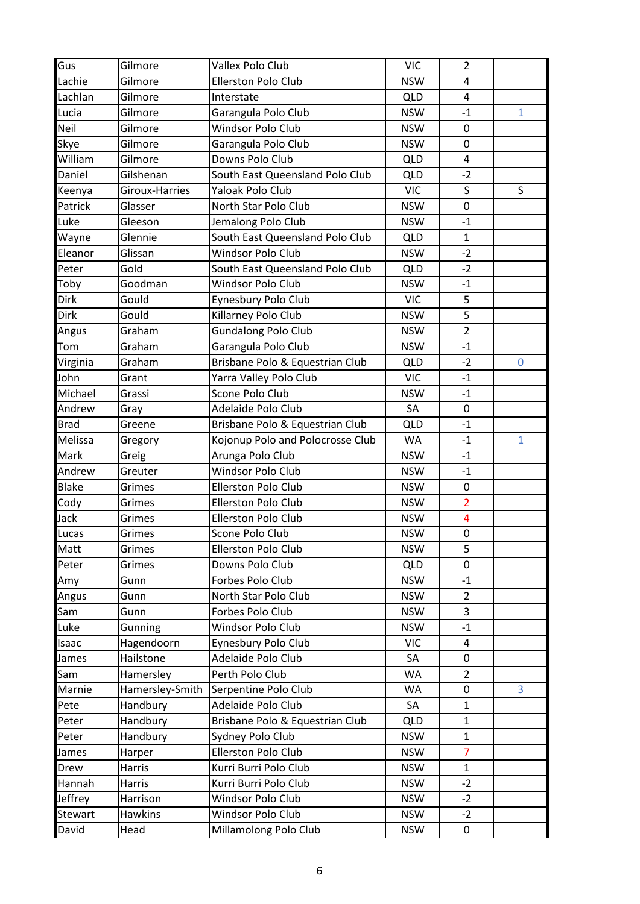| Gus          | Gilmore         | Vallex Polo Club                 | <b>VIC</b> | $\overline{2}$          |              |
|--------------|-----------------|----------------------------------|------------|-------------------------|--------------|
| Lachie       | Gilmore         | Ellerston Polo Club              | <b>NSW</b> | 4                       |              |
| Lachlan      | Gilmore         | Interstate                       | <b>QLD</b> | 4                       |              |
| Lucia        | Gilmore         | Garangula Polo Club              | <b>NSW</b> | $-1$                    | $\mathbf{1}$ |
| Neil         | Gilmore         | Windsor Polo Club                | <b>NSW</b> | $\mathbf 0$             |              |
| Skye         | Gilmore         | Garangula Polo Club              | <b>NSW</b> | 0                       |              |
| William      | Gilmore         | Downs Polo Club                  | <b>QLD</b> | $\overline{4}$          |              |
| Daniel       | Gilshenan       | South East Queensland Polo Club  | <b>QLD</b> | $-2$                    |              |
| Keenya       | Giroux-Harries  | Yaloak Polo Club                 | <b>VIC</b> | S                       | S            |
| Patrick      | Glasser         | North Star Polo Club             | <b>NSW</b> | $\pmb{0}$               |              |
| Luke         | Gleeson         | Jemalong Polo Club               | <b>NSW</b> | $-1$                    |              |
| Wayne        | Glennie         | South East Queensland Polo Club  | <b>QLD</b> | $\mathbf{1}$            |              |
| Eleanor      | Glissan         | Windsor Polo Club                | <b>NSW</b> | $-2$                    |              |
| Peter        | Gold            | South East Queensland Polo Club  | <b>QLD</b> | $-2$                    |              |
| Toby         | Goodman         | Windsor Polo Club                | <b>NSW</b> | $-1$                    |              |
| <b>Dirk</b>  | Gould           | Eynesbury Polo Club              | <b>VIC</b> | 5                       |              |
| Dirk         | Gould           | Killarney Polo Club              | <b>NSW</b> | 5                       |              |
| Angus        | Graham          | <b>Gundalong Polo Club</b>       | <b>NSW</b> | $\overline{2}$          |              |
| Tom          | Graham          | Garangula Polo Club              | <b>NSW</b> | $-1$                    |              |
| Virginia     | Graham          | Brisbane Polo & Equestrian Club  | <b>QLD</b> | $-2$                    | $\mathbf 0$  |
| John         | Grant           | Yarra Valley Polo Club           | <b>VIC</b> | $-1$                    |              |
| Michael      | Grassi          | Scone Polo Club                  | <b>NSW</b> | $-1$                    |              |
| Andrew       | Gray            | Adelaide Polo Club               | SA         | $\pmb{0}$               |              |
| <b>Brad</b>  | Greene          | Brisbane Polo & Equestrian Club  | <b>QLD</b> | $-1$                    |              |
| Melissa      | Gregory         | Kojonup Polo and Polocrosse Club | WA         | $-1$                    | $\mathbf{1}$ |
| Mark         | Greig           | Arunga Polo Club                 | <b>NSW</b> | $-1$                    |              |
| Andrew       | Greuter         | Windsor Polo Club                | <b>NSW</b> | $-1$                    |              |
| <b>Blake</b> | Grimes          | <b>Ellerston Polo Club</b>       | <b>NSW</b> | $\pmb{0}$               |              |
| Cody         | Grimes          | <b>Ellerston Polo Club</b>       | <b>NSW</b> | $\overline{2}$          |              |
| Jack         | Grimes          | Ellerston Polo Club              | <b>NSW</b> | $\overline{\mathbf{4}}$ |              |
| Lucas        | Grimes          | Scone Polo Club                  | <b>NSW</b> | $\mathbf 0$             |              |
| Matt         | Grimes          | Ellerston Polo Club              | <b>NSW</b> | 5                       |              |
| Peter        | Grimes          | Downs Polo Club                  | <b>QLD</b> | 0                       |              |
| Amy          | Gunn            | Forbes Polo Club                 | <b>NSW</b> | $-1$                    |              |
| Angus        | Gunn            | North Star Polo Club             | <b>NSW</b> | $\overline{2}$          |              |
| Sam          | Gunn            | Forbes Polo Club                 | <b>NSW</b> | $\overline{3}$          |              |
| Luke         | Gunning         | Windsor Polo Club                | <b>NSW</b> | $-1$                    |              |
| Isaac        | Hagendoorn      | Eynesbury Polo Club              | <b>VIC</b> | 4                       |              |
| James        | Hailstone       | Adelaide Polo Club               | SA         | 0                       |              |
| Sam          | Hamersley       | Perth Polo Club                  | WA         | $\overline{2}$          |              |
| Marnie       | Hamersley-Smith | Serpentine Polo Club             | WA         | $\mathbf 0$             | 3            |
| Pete         | Handbury        | Adelaide Polo Club               | SA         | $\mathbf{1}$            |              |
| Peter        | Handbury        | Brisbane Polo & Equestrian Club  | <b>QLD</b> | $\mathbf{1}$            |              |
| Peter        | Handbury        | Sydney Polo Club                 | <b>NSW</b> | $\mathbf{1}$            |              |
| James        | Harper          | Ellerston Polo Club              | <b>NSW</b> | $\overline{7}$          |              |
| Drew         | Harris          | Kurri Burri Polo Club            | <b>NSW</b> | $\mathbf{1}$            |              |
| Hannah       | Harris          | Kurri Burri Polo Club            | <b>NSW</b> | $-2$                    |              |
| Jeffrey      | Harrison        | Windsor Polo Club                | <b>NSW</b> | $-2$                    |              |
| Stewart      | <b>Hawkins</b>  | Windsor Polo Club                | <b>NSW</b> | $-2$                    |              |
| David        | Head            | Millamolong Polo Club            | <b>NSW</b> | 0                       |              |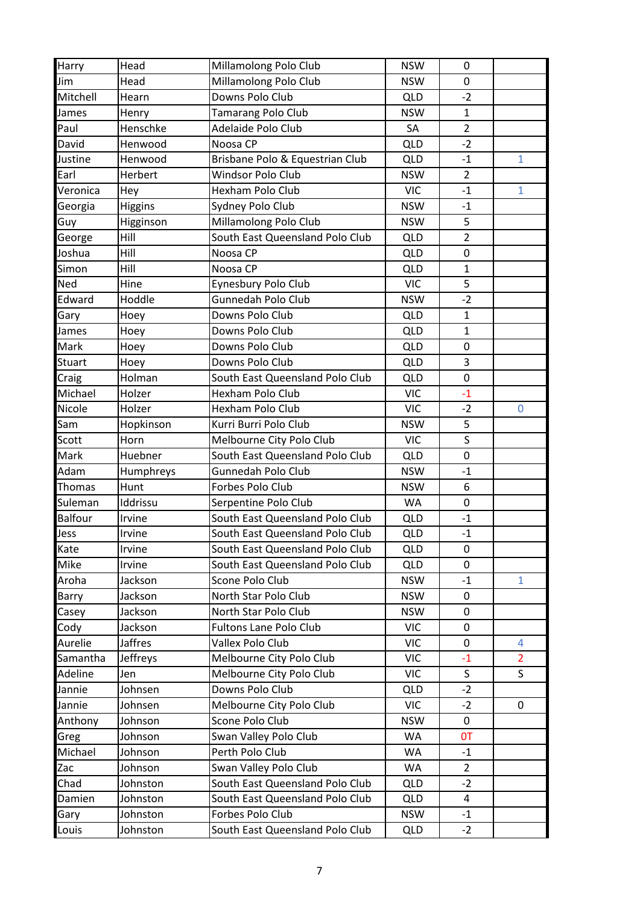| <b>Harry</b>   | Head           | Millamolong Polo Club           | <b>NSW</b> | 0              |                |
|----------------|----------------|---------------------------------|------------|----------------|----------------|
| Jim            | Head           | Millamolong Polo Club           | <b>NSW</b> | 0              |                |
| Mitchell       | Hearn          | Downs Polo Club                 | <b>QLD</b> | $-2$           |                |
| James          | Henry          | Tamarang Polo Club              | <b>NSW</b> | $\mathbf{1}$   |                |
| Paul           | Henschke       | Adelaide Polo Club              | SA         | $\overline{2}$ |                |
| David          | Henwood        | Noosa CP                        | <b>QLD</b> | $-2$           |                |
| Justine        | Henwood        | Brisbane Polo & Equestrian Club | <b>QLD</b> | $-1$           | $\mathbf{1}$   |
| Earl           | Herbert        | Windsor Polo Club               | <b>NSW</b> | $\overline{2}$ |                |
| Veronica       | Hey            | <b>Hexham Polo Club</b>         | <b>VIC</b> | $-1$           | $\mathbf{1}$   |
| Georgia        | Higgins        | Sydney Polo Club                | <b>NSW</b> | $-1$           |                |
| Guy            | Higginson      | Millamolong Polo Club           | <b>NSW</b> | 5              |                |
| George         | Hill           | South East Queensland Polo Club | <b>QLD</b> | $\overline{2}$ |                |
| Joshua         | Hill           | Noosa CP                        | <b>QLD</b> | $\pmb{0}$      |                |
| Simon          | Hill           | Noosa CP                        | <b>QLD</b> | $\mathbf{1}$   |                |
| Ned            | Hine           | Eynesbury Polo Club             | <b>VIC</b> | 5              |                |
| Edward         | Hoddle         | <b>Gunnedah Polo Club</b>       | <b>NSW</b> | $-2$           |                |
| Gary           | Hoey           | Downs Polo Club                 | <b>QLD</b> | $\mathbf 1$    |                |
| James          | Hoey           | Downs Polo Club                 | <b>QLD</b> | $\mathbf{1}$   |                |
| Mark           | Hoey           | Downs Polo Club                 | <b>QLD</b> | $\mathbf 0$    |                |
| <b>Stuart</b>  | Hoey           | Downs Polo Club                 | <b>QLD</b> | 3              |                |
| Craig          | Holman         | South East Queensland Polo Club | <b>QLD</b> | $\mathbf 0$    |                |
| Michael        | Holzer         | Hexham Polo Club                | <b>VIC</b> | $-1$           |                |
| Nicole         | Holzer         | Hexham Polo Club                | <b>VIC</b> | $-2$           | 0              |
| Sam            | Hopkinson      | Kurri Burri Polo Club           | <b>NSW</b> | 5              |                |
| Scott          | Horn           | Melbourne City Polo Club        | <b>VIC</b> | $\sf S$        |                |
| Mark           | Huebner        | South East Queensland Polo Club | <b>QLD</b> | $\mathbf 0$    |                |
| Adam           | Humphreys      | Gunnedah Polo Club              | <b>NSW</b> | $-1$           |                |
| Thomas         | Hunt           | Forbes Polo Club                | <b>NSW</b> | 6              |                |
| Suleman        | Iddrissu       | Serpentine Polo Club            | <b>WA</b>  | $\pmb{0}$      |                |
| <b>Balfour</b> | Irvine         | South East Queensland Polo Club | <b>QLD</b> | $-1$           |                |
| Jess           | Irvine         | South East Queensland Polo Club | <b>QLD</b> | $-1$           |                |
| Kate           | Irvine         | South East Queensland Polo Club | <b>QLD</b> | 0              |                |
| Mike           | Irvine         | South East Queensland Polo Club | <b>QLD</b> | $\mathbf{0}$   |                |
| Aroha          | Jackson        | Scone Polo Club                 | <b>NSW</b> | $-1$           | $\mathbf{1}$   |
| Barry          | Jackson        | North Star Polo Club            | <b>NSW</b> | 0              |                |
| Casey          | Jackson        | North Star Polo Club            | <b>NSW</b> | $\mathbf 0$    |                |
| Cody           | Jackson        | <b>Fultons Lane Polo Club</b>   | <b>VIC</b> | 0              |                |
| Aurelie        | <b>Jaffres</b> | Vallex Polo Club                | <b>VIC</b> | 0              | 4              |
| Samantha       | Jeffreys       | Melbourne City Polo Club        | <b>VIC</b> | $-1$           | $\overline{2}$ |
| Adeline        | Jen            | Melbourne City Polo Club        | <b>VIC</b> | S              | S              |
| Jannie         | Johnsen        | Downs Polo Club                 | <b>QLD</b> | $-2$           |                |
| Jannie         | Johnsen        | Melbourne City Polo Club        | <b>VIC</b> | $-2$           | 0              |
| Anthony        | Johnson        | Scone Polo Club                 | <b>NSW</b> | 0              |                |
| Greg           | Johnson        | Swan Valley Polo Club           | WA         | <b>OT</b>      |                |
| Michael        | Johnson        | Perth Polo Club                 | WA         | $-1$           |                |
| Zac            | Johnson        | Swan Valley Polo Club           | WA         | 2              |                |
| Chad           | Johnston       | South East Queensland Polo Club | <b>QLD</b> | $-2$           |                |
| Damien         | Johnston       | South East Queensland Polo Club | <b>QLD</b> | 4              |                |
| Gary           | Johnston       | Forbes Polo Club                | <b>NSW</b> | $-1$           |                |
| Louis          | Johnston       | South East Queensland Polo Club | <b>QLD</b> | $-2$           |                |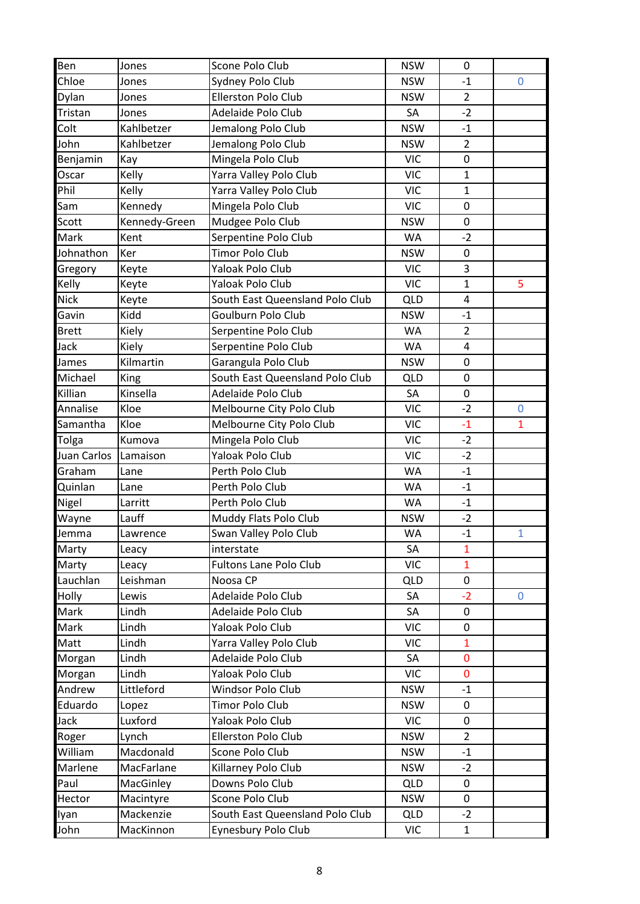| Ben          | Jones         | Scone Polo Club                 | <b>NSW</b> | $\mathbf 0$    |                |
|--------------|---------------|---------------------------------|------------|----------------|----------------|
| Chloe        | Jones         | Sydney Polo Club                | <b>NSW</b> | $-1$           | $\overline{0}$ |
| Dylan        | Jones         | <b>Ellerston Polo Club</b>      | <b>NSW</b> | $\overline{2}$ |                |
| Tristan      | Jones         | Adelaide Polo Club              | SA         | $-2$           |                |
| Colt         | Kahlbetzer    | Jemalong Polo Club              | <b>NSW</b> | $-1$           |                |
| John         | Kahlbetzer    | Jemalong Polo Club              | <b>NSW</b> | $\overline{2}$ |                |
| Benjamin     | Kay           | Mingela Polo Club               | <b>VIC</b> | $\mathbf 0$    |                |
| Oscar        | Kelly         | Yarra Valley Polo Club          | <b>VIC</b> | $\mathbf{1}$   |                |
| Phil         | Kelly         | Yarra Valley Polo Club          | <b>VIC</b> | $\mathbf{1}$   |                |
| Sam          | Kennedy       | Mingela Polo Club               | <b>VIC</b> | $\pmb{0}$      |                |
| Scott        | Kennedy-Green | Mudgee Polo Club                | <b>NSW</b> | $\mathbf 0$    |                |
| Mark         | Kent          | Serpentine Polo Club            | <b>WA</b>  | $-2$           |                |
| Johnathon    | Ker           | Timor Polo Club                 | <b>NSW</b> | $\pmb{0}$      |                |
| Gregory      | Keyte         | Yaloak Polo Club                | <b>VIC</b> | 3              |                |
| Kelly        | Keyte         | Yaloak Polo Club                | <b>VIC</b> | $\mathbf{1}$   | 5              |
| <b>Nick</b>  | Keyte         | South East Queensland Polo Club | <b>QLD</b> | $\overline{4}$ |                |
| Gavin        | Kidd          | Goulburn Polo Club              | <b>NSW</b> | $-1$           |                |
| <b>Brett</b> | Kiely         | Serpentine Polo Club            | <b>WA</b>  | $\overline{2}$ |                |
| Jack         | Kiely         | Serpentine Polo Club            | <b>WA</b>  | 4              |                |
| James        | Kilmartin     | Garangula Polo Club             | <b>NSW</b> | 0              |                |
| Michael      | King          | South East Queensland Polo Club | <b>QLD</b> | $\mathbf 0$    |                |
| Killian      | Kinsella      | Adelaide Polo Club              | SA         | $\mathbf 0$    |                |
| Annalise     | Kloe          | Melbourne City Polo Club        | <b>VIC</b> | $-2$           | $\overline{0}$ |
| Samantha     | Kloe          | Melbourne City Polo Club        | <b>VIC</b> | $-1$           | 1              |
| Tolga        | Kumova        | Mingela Polo Club               | <b>VIC</b> | $-2$           |                |
| Juan Carlos  | Lamaison      | Yaloak Polo Club                | <b>VIC</b> | $-2$           |                |
| Graham       | Lane          | Perth Polo Club                 | WA         | $-1$           |                |
| Quinlan      | Lane          | Perth Polo Club                 | <b>WA</b>  | $-1$           |                |
| Nigel        | Larritt       | Perth Polo Club                 | <b>WA</b>  | $-1$           |                |
| Wayne        | Lauff         | Muddy Flats Polo Club           | <b>NSW</b> | $-2$           |                |
| Jemma        | Lawrence      | Swan Valley Polo Club           | <b>WA</b>  | $-1$           | 1              |
| Marty        | Leacy         | interstate                      | SA         | $\mathbf{1}$   |                |
| Marty        | Leacy         | <b>Fultons Lane Polo Club</b>   | <b>VIC</b> | $\mathbf{1}$   |                |
| Lauchlan     | Leishman      | Noosa CP                        | <b>QLD</b> | 0              |                |
| Holly        | Lewis         | Adelaide Polo Club              | SA         | $-2$           | $\mathbf{0}$   |
| Mark         | Lindh         | Adelaide Polo Club              | SA         | 0              |                |
| Mark         | Lindh         | Yaloak Polo Club                | <b>VIC</b> | $\pmb{0}$      |                |
| Matt         | Lindh         | Yarra Valley Polo Club          | <b>VIC</b> | $\mathbf{1}$   |                |
| Morgan       | Lindh         | Adelaide Polo Club              | SA         | $\mathbf 0$    |                |
| Morgan       | Lindh         | Yaloak Polo Club                | <b>VIC</b> | $\overline{0}$ |                |
| Andrew       | Littleford    | Windsor Polo Club               | <b>NSW</b> | $-1$           |                |
| Eduardo      | Lopez         | Timor Polo Club                 | <b>NSW</b> | $\pmb{0}$      |                |
| Jack         | Luxford       | Yaloak Polo Club                | <b>VIC</b> | $\pmb{0}$      |                |
| Roger        | Lynch         | Ellerston Polo Club             | <b>NSW</b> | $\overline{2}$ |                |
| William      | Macdonald     | Scone Polo Club                 | <b>NSW</b> | $-1$           |                |
| Marlene      | MacFarlane    | Killarney Polo Club             | <b>NSW</b> | $-2$           |                |
| Paul         | MacGinley     | Downs Polo Club                 | <b>QLD</b> | 0              |                |
| Hector       | Macintyre     | Scone Polo Club                 | <b>NSW</b> | $\pmb{0}$      |                |
| lyan         | Mackenzie     | South East Queensland Polo Club | <b>QLD</b> | $-2$           |                |
| John         | MacKinnon     | Eynesbury Polo Club             | VIC        | $\mathbf{1}$   |                |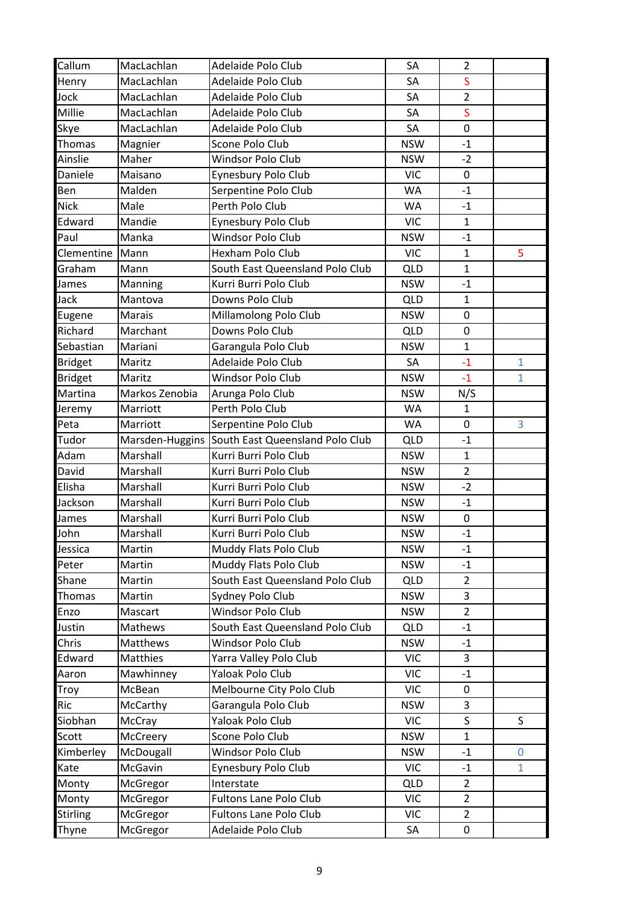| Callum          | MacLachlan     | Adelaide Polo Club                                                       | SA         | $\overline{2}$ |              |
|-----------------|----------------|--------------------------------------------------------------------------|------------|----------------|--------------|
| Henry           | MacLachlan     | Adelaide Polo Club                                                       | SA         | S              |              |
| Jock            | MacLachlan     | Adelaide Polo Club                                                       | SA         | $\overline{2}$ |              |
| Millie          | MacLachlan     | Adelaide Polo Club                                                       | SA         | S              |              |
| Skye            | MacLachlan     | Adelaide Polo Club                                                       | SA         | $\mathbf 0$    |              |
| Thomas          | Magnier        | Scone Polo Club                                                          | <b>NSW</b> | $-1$           |              |
| Ainslie         | Maher          | Windsor Polo Club                                                        | <b>NSW</b> | $-2$           |              |
| Daniele         | Maisano        | Eynesbury Polo Club                                                      | <b>VIC</b> | 0              |              |
| Ben             | Malden         | Serpentine Polo Club                                                     | <b>WA</b>  | $-1$           |              |
| <b>Nick</b>     | Male           | Perth Polo Club                                                          | WA         | $-1$           |              |
| Edward          | Mandie         | Eynesbury Polo Club                                                      | <b>VIC</b> | $\mathbf{1}$   |              |
| Paul            | Manka          | Windsor Polo Club                                                        | <b>NSW</b> | $-1$           |              |
| Clementine      | Mann           | Hexham Polo Club                                                         | <b>VIC</b> | $\mathbf{1}$   | 5            |
| Graham          | Mann           | South East Queensland Polo Club                                          | <b>QLD</b> | $\mathbf{1}$   |              |
| James           | Manning        | Kurri Burri Polo Club                                                    | <b>NSW</b> | $-1$           |              |
| Jack            | Mantova        | Downs Polo Club                                                          | <b>QLD</b> | $\mathbf{1}$   |              |
| Eugene          | <b>Marais</b>  | Millamolong Polo Club                                                    | <b>NSW</b> | $\pmb{0}$      |              |
| Richard         | Marchant       | Downs Polo Club                                                          | <b>QLD</b> | $\pmb{0}$      |              |
| Sebastian       | Mariani        | Garangula Polo Club                                                      | <b>NSW</b> | $\mathbf{1}$   |              |
| <b>Bridget</b>  | Maritz         | Adelaide Polo Club                                                       | SA         | $-1$           | $\mathbf{1}$ |
| <b>Bridget</b>  | Maritz         | Windsor Polo Club                                                        | <b>NSW</b> | $-1$           | $\mathbf{1}$ |
| Martina         | Markos Zenobia | Arunga Polo Club                                                         | <b>NSW</b> | N/S            |              |
| Jeremy          | Marriott       | Perth Polo Club                                                          | <b>WA</b>  | $\mathbf{1}$   |              |
| Peta            | Marriott       | Serpentine Polo Club                                                     | <b>WA</b>  | 0              | 3            |
| Tudor           |                |                                                                          | <b>QLD</b> | $-1$           |              |
| Adam            | Marshall       | Marsden-Huggins South East Queensland Polo Club<br>Kurri Burri Polo Club | <b>NSW</b> | $\mathbf{1}$   |              |
|                 |                |                                                                          |            | $\overline{2}$ |              |
| David<br>Elisha | Marshall       | Kurri Burri Polo Club                                                    | <b>NSW</b> |                |              |
|                 | Marshall       | Kurri Burri Polo Club                                                    | <b>NSW</b> | $-2$           |              |
| Jackson         | Marshall       | Kurri Burri Polo Club                                                    | <b>NSW</b> | $-1$           |              |
| James           | Marshall       | Kurri Burri Polo Club                                                    | <b>NSW</b> | 0              |              |
| John            | Marshall       | Kurri Burri Polo Club                                                    | <b>NSW</b> | $-1$           |              |
| Jessica         | Martin         | Muddy Flats Polo Club                                                    | <b>NSW</b> | $-1$           |              |
| Peter           | Martin         | Muddy Flats Polo Club                                                    | <b>NSW</b> | $-1$           |              |
| Shane           | Martin         | South East Queensland Polo Club                                          | <b>QLD</b> | $\overline{2}$ |              |
| Thomas          | Martin         | Sydney Polo Club                                                         | <b>NSW</b> | 3              |              |
| Enzo            | Mascart        | Windsor Polo Club                                                        | <b>NSW</b> | $\overline{2}$ |              |
| Justin          | Mathews        | South East Queensland Polo Club                                          | <b>QLD</b> | $-1$           |              |
| Chris           | Matthews       | Windsor Polo Club                                                        | <b>NSW</b> | $-1$           |              |
| Edward          | Matthies       | Yarra Valley Polo Club                                                   | <b>VIC</b> | 3              |              |
| Aaron           | Mawhinney      | Yaloak Polo Club                                                         | <b>VIC</b> | $-1$           |              |
| Troy            | McBean         | Melbourne City Polo Club                                                 | <b>VIC</b> | 0              |              |
| Ric             | McCarthy       | Garangula Polo Club                                                      | <b>NSW</b> | 3              |              |
| Siobhan         | McCray         | Yaloak Polo Club                                                         | <b>VIC</b> | S              | S            |
| Scott           | McCreery       | Scone Polo Club                                                          | <b>NSW</b> | $\mathbf{1}$   |              |
| Kimberley       | McDougall      | Windsor Polo Club                                                        | <b>NSW</b> | $-1$           | $\mathbf{0}$ |
| Kate            | McGavin        | Eynesbury Polo Club                                                      | <b>VIC</b> | $-1$           | 1            |
| Monty           | McGregor       | Interstate                                                               | <b>QLD</b> | $\overline{2}$ |              |
| Monty           | McGregor       | Fultons Lane Polo Club                                                   | <b>VIC</b> | $\overline{2}$ |              |
| <b>Stirling</b> | McGregor       | Fultons Lane Polo Club                                                   | <b>VIC</b> | $\overline{2}$ |              |
| Thyne           | McGregor       | Adelaide Polo Club                                                       | SA         | $\pmb{0}$      |              |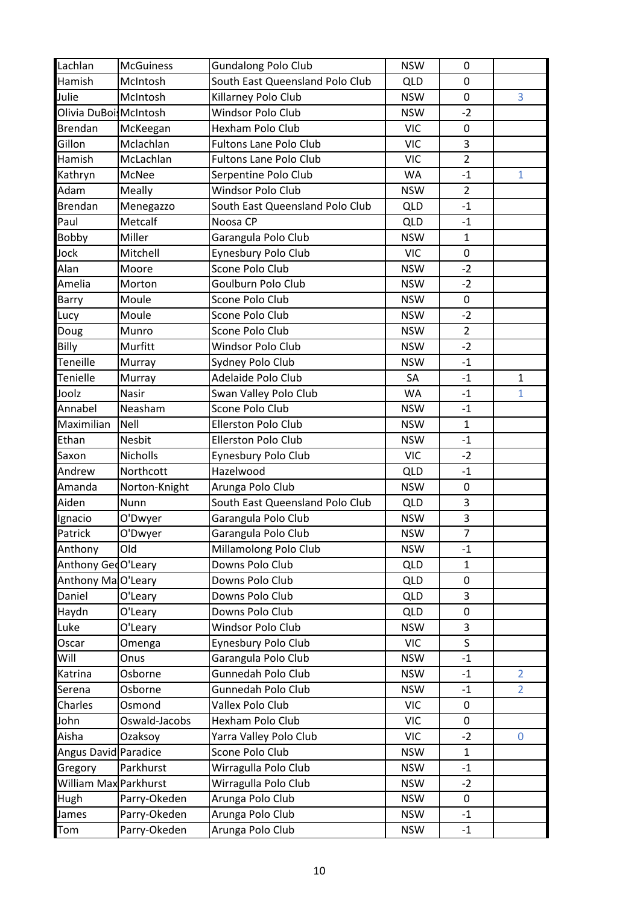| Lachlan                | <b>McGuiness</b> | <b>Gundalong Polo Club</b>      | <b>NSW</b> | 0              |                |
|------------------------|------------------|---------------------------------|------------|----------------|----------------|
| Hamish                 | McIntosh         | South East Queensland Polo Club | <b>QLD</b> | 0              |                |
| Julie                  | McIntosh         | Killarney Polo Club             | <b>NSW</b> | $\pmb{0}$      | 3              |
| Olivia DuBoi: McIntosh |                  | Windsor Polo Club               | <b>NSW</b> | $-2$           |                |
| Brendan                | McKeegan         | Hexham Polo Club                | <b>VIC</b> | $\mathbf 0$    |                |
| Gillon                 | Mclachlan        | <b>Fultons Lane Polo Club</b>   | <b>VIC</b> | 3              |                |
| Hamish                 | McLachlan        | <b>Fultons Lane Polo Club</b>   | <b>VIC</b> | $\overline{2}$ |                |
| Kathryn                | McNee            | Serpentine Polo Club            | WA         | $-1$           | $\mathbf{1}$   |
| Adam                   | Meally           | Windsor Polo Club               | <b>NSW</b> | $\overline{2}$ |                |
| <b>Brendan</b>         | Menegazzo        | South East Queensland Polo Club | <b>QLD</b> | $-1$           |                |
| Paul                   | Metcalf          | Noosa CP                        | <b>QLD</b> | $-1$           |                |
| Bobby                  | Miller           | Garangula Polo Club             | <b>NSW</b> | $\mathbf{1}$   |                |
| Jock                   | Mitchell         | Eynesbury Polo Club             | <b>VIC</b> | $\pmb{0}$      |                |
| Alan                   | Moore            | Scone Polo Club                 | <b>NSW</b> | $-2$           |                |
| Amelia                 | Morton           | Goulburn Polo Club              | <b>NSW</b> | $-2$           |                |
| Barry                  | Moule            | Scone Polo Club                 | <b>NSW</b> | 0              |                |
| Lucy                   | Moule            | Scone Polo Club                 | <b>NSW</b> | $-2$           |                |
| Doug                   | Munro            | Scone Polo Club                 | <b>NSW</b> | $\overline{2}$ |                |
| Billy                  | Murfitt          | Windsor Polo Club               | <b>NSW</b> | $-2$           |                |
| Teneille               | Murray           | Sydney Polo Club                | <b>NSW</b> | $-1$           |                |
| Tenielle               | Murray           | Adelaide Polo Club              | SA         | $-1$           | $\mathbf{1}$   |
| Joolz                  | Nasir            | Swan Valley Polo Club           | WA         | $-1$           | $\mathbf{1}$   |
| Annabel                | Neasham          | Scone Polo Club                 | <b>NSW</b> | $-1$           |                |
| Maximilian             | <b>Nell</b>      | <b>Ellerston Polo Club</b>      | <b>NSW</b> | $\mathbf{1}$   |                |
| Ethan                  | <b>Nesbit</b>    | Ellerston Polo Club             | <b>NSW</b> | $-1$           |                |
| Saxon                  | Nicholls         | Eynesbury Polo Club             | <b>VIC</b> | $-2$           |                |
| Andrew                 | Northcott        | Hazelwood                       | <b>QLD</b> | $-1$           |                |
| Amanda                 | Norton-Knight    | Arunga Polo Club                | <b>NSW</b> | $\mathbf 0$    |                |
| Aiden                  | Nunn             | South East Queensland Polo Club | <b>QLD</b> | 3              |                |
| Ignacio                | O'Dwyer          | Garangula Polo Club             | <b>NSW</b> | 3              |                |
| Patrick                | O'Dwyer          | Garangula Polo Club             | <b>NSW</b> | $\overline{7}$ |                |
| Anthony                | Old              | Millamolong Polo Club           | <b>NSW</b> | $-1$           |                |
| Anthony GedO'Leary     |                  | Downs Polo Club                 | <b>QLD</b> | $\mathbf{1}$   |                |
| Anthony MaO'Leary      |                  | Downs Polo Club                 | <b>QLD</b> | $\pmb{0}$      |                |
| Daniel                 | O'Leary          | Downs Polo Club                 | <b>QLD</b> | 3              |                |
| Haydn                  | O'Leary          | Downs Polo Club                 | <b>QLD</b> | $\pmb{0}$      |                |
| Luke                   | O'Leary          | Windsor Polo Club               | <b>NSW</b> | 3              |                |
| Oscar                  | Omenga           | Eynesbury Polo Club             | <b>VIC</b> | S              |                |
| Will                   | Onus             | Garangula Polo Club             | <b>NSW</b> | $-1$           |                |
| Katrina                | Osborne          | Gunnedah Polo Club              | <b>NSW</b> | $-1$           | $\overline{2}$ |
| Serena                 | Osborne          | Gunnedah Polo Club              | <b>NSW</b> | $-1$           | $\overline{2}$ |
| Charles                | Osmond           | Vallex Polo Club                | <b>VIC</b> | $\mathbf 0$    |                |
| John                   | Oswald-Jacobs    | Hexham Polo Club                | <b>VIC</b> | 0              |                |
| Aisha                  | Ozaksoy          | Yarra Valley Polo Club          | <b>VIC</b> | $-2$           | $\mathbf 0$    |
| Angus David Paradice   |                  | Scone Polo Club                 | <b>NSW</b> | $\mathbf{1}$   |                |
| Gregory                | Parkhurst        | Wirragulla Polo Club            | <b>NSW</b> | $-1$           |                |
| William Max Parkhurst  |                  | Wirragulla Polo Club            | <b>NSW</b> | $-2$           |                |
| Hugh                   | Parry-Okeden     | Arunga Polo Club                | <b>NSW</b> | $\mathbf 0$    |                |
| James                  | Parry-Okeden     | Arunga Polo Club                | <b>NSW</b> | $-1$           |                |
| Tom                    | Parry-Okeden     | Arunga Polo Club                | <b>NSW</b> | $-1$           |                |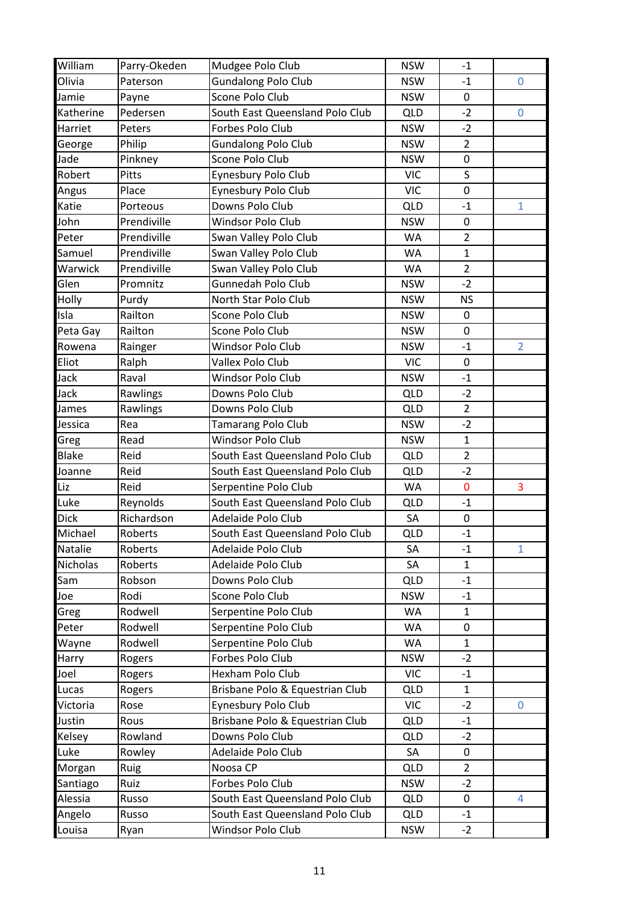| William       | Parry-Okeden | Mudgee Polo Club                | <b>NSW</b> | $-1$           |                |
|---------------|--------------|---------------------------------|------------|----------------|----------------|
| Olivia        | Paterson     | <b>Gundalong Polo Club</b>      | <b>NSW</b> | $-1$           | $\mathbf 0$    |
| Jamie         | Payne        | Scone Polo Club                 | <b>NSW</b> | $\pmb{0}$      |                |
| Katherine     | Pedersen     | South East Queensland Polo Club | <b>QLD</b> | $-2$           | $\mathbf 0$    |
| Harriet       | Peters       | Forbes Polo Club                | <b>NSW</b> | $-2$           |                |
| George        | Philip       | <b>Gundalong Polo Club</b>      | <b>NSW</b> | $\overline{2}$ |                |
| Jade          | Pinkney      | Scone Polo Club                 | <b>NSW</b> | $\pmb{0}$      |                |
| Robert        | Pitts        | Eynesbury Polo Club             | <b>VIC</b> | $\sf S$        |                |
| Angus         | Place        | Eynesbury Polo Club             | <b>VIC</b> | $\mathbf 0$    |                |
| Katie         | Porteous     | Downs Polo Club                 | <b>QLD</b> | $-1$           | $\mathbf{1}$   |
| John          | Prendiville  | Windsor Polo Club               | <b>NSW</b> | $\mathbf 0$    |                |
| Peter         | Prendiville  | Swan Valley Polo Club           | WA         | $\overline{2}$ |                |
| Samuel        | Prendiville  | Swan Valley Polo Club           | WA         | $\mathbf{1}$   |                |
| Warwick       | Prendiville  | Swan Valley Polo Club           | WA         | $\overline{2}$ |                |
| Glen          | Promnitz     | <b>Gunnedah Polo Club</b>       | <b>NSW</b> | $-2$           |                |
| Holly         | Purdy        | North Star Polo Club            | <b>NSW</b> | <b>NS</b>      |                |
| Isla          | Railton      | Scone Polo Club                 | <b>NSW</b> | $\pmb{0}$      |                |
| Peta Gay      | Railton      | Scone Polo Club                 | <b>NSW</b> | $\mathbf 0$    |                |
| Rowena        | Rainger      | Windsor Polo Club               | <b>NSW</b> | $-1$           | $\overline{2}$ |
| Eliot         | Ralph        | Vallex Polo Club                | <b>VIC</b> | $\mathbf 0$    |                |
| Jack          | Raval        | Windsor Polo Club               | <b>NSW</b> | $-1$           |                |
| Jack          | Rawlings     | Downs Polo Club                 | <b>QLD</b> | $-2$           |                |
| James         | Rawlings     | Downs Polo Club                 | <b>QLD</b> | $\overline{2}$ |                |
| Jessica       | Rea          | Tamarang Polo Club              | <b>NSW</b> | $-2$           |                |
| Greg          | Read         | <b>Windsor Polo Club</b>        | <b>NSW</b> | $\mathbf{1}$   |                |
| <b>Blake</b>  | Reid         | South East Queensland Polo Club | <b>QLD</b> | $\overline{2}$ |                |
| Joanne        | Reid         | South East Queensland Polo Club | <b>QLD</b> | $-2$           |                |
| Liz           | Reid         | Serpentine Polo Club            | <b>WA</b>  | $\mathbf 0$    | 3              |
| Luke          | Reynolds     | South East Queensland Polo Club | <b>QLD</b> | $-1$           |                |
| <b>Dick</b>   | Richardson   | Adelaide Polo Club              | SA         | $\pmb{0}$      |                |
| Michael       | Roberts      | South East Queensland Polo Club | <b>QLD</b> | $-1$           |                |
| Natalie       | Roberts      | Adelaide Polo Club              | SA         | $-1$           | $\mathbf{1}$   |
| Nicholas      | Roberts      | Adelaide Polo Club              | SA         | $\mathbf{1}$   |                |
| Sam           | Robson       | Downs Polo Club                 | <b>QLD</b> | $-1$           |                |
| Joe           | Rodi         | Scone Polo Club                 | <b>NSW</b> | $-1$           |                |
| Greg          | Rodwell      | Serpentine Polo Club            | WA         | $\mathbf{1}$   |                |
| Peter         | Rodwell      | Serpentine Polo Club            | <b>WA</b>  | 0              |                |
| Wayne         | Rodwell      | Serpentine Polo Club            | <b>WA</b>  | $\mathbf{1}$   |                |
| Harry         | Rogers       | Forbes Polo Club                | <b>NSW</b> | $-2$           |                |
| Joel          | Rogers       | Hexham Polo Club                | <b>VIC</b> | $-1$           |                |
| Lucas         | Rogers       | Brisbane Polo & Equestrian Club | <b>QLD</b> | $\mathbf{1}$   |                |
| Victoria      | Rose         | Eynesbury Polo Club             | <b>VIC</b> | $-2$           | 0              |
| Justin        | Rous         | Brisbane Polo & Equestrian Club | <b>QLD</b> | $-1$           |                |
| <b>Kelsey</b> | Rowland      | Downs Polo Club                 | <b>QLD</b> | $-2$           |                |
| Luke          | Rowley       | Adelaide Polo Club              | SA         | 0              |                |
| Morgan        | Ruig         | Noosa CP                        | <b>QLD</b> | $\overline{2}$ |                |
| Santiago      | Ruiz         | Forbes Polo Club                | <b>NSW</b> | $-2$           |                |
| Alessia       | Russo        | South East Queensland Polo Club | <b>QLD</b> | $\mathbf 0$    | 4              |
| Angelo        | Russo        | South East Queensland Polo Club | <b>QLD</b> | $-1$           |                |
| Louisa        | Ryan         | Windsor Polo Club               | <b>NSW</b> | $-2$           |                |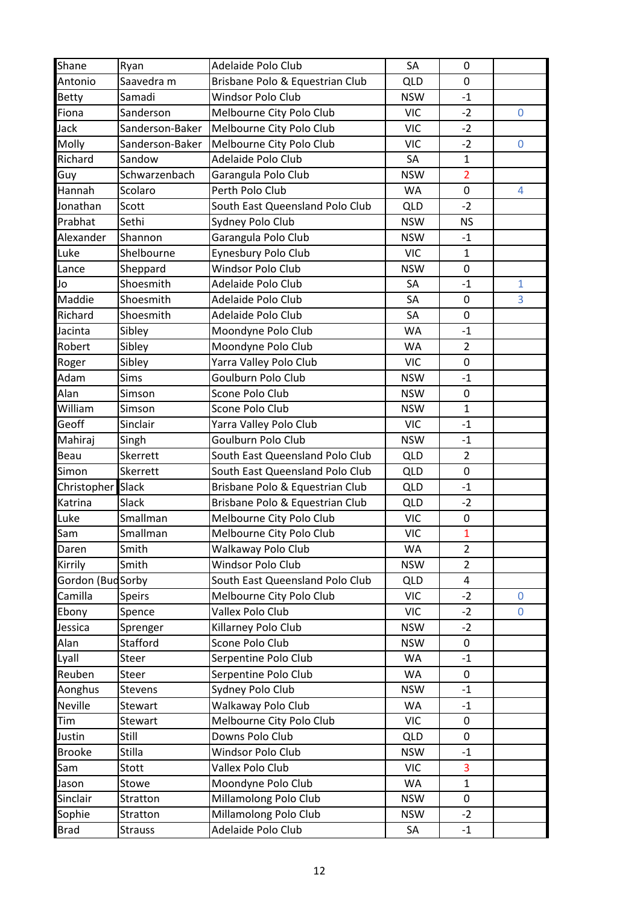| Shane             | Ryan            | Adelaide Polo Club              | SA         | 0              |              |
|-------------------|-----------------|---------------------------------|------------|----------------|--------------|
| Antonio           | Saavedra m      | Brisbane Polo & Equestrian Club | <b>QLD</b> | $\mathbf 0$    |              |
| Betty             | Samadi          | <b>Windsor Polo Club</b>        | <b>NSW</b> | $-1$           |              |
| Fiona             | Sanderson       | Melbourne City Polo Club        | <b>VIC</b> | $-2$           | $\mathbf 0$  |
| Jack              | Sanderson-Baker | Melbourne City Polo Club        | <b>VIC</b> | $-2$           |              |
| Molly             | Sanderson-Baker | Melbourne City Polo Club        | <b>VIC</b> | $-2$           | 0            |
| Richard           | Sandow          | Adelaide Polo Club              | SA         | $\mathbf 1$    |              |
| Guy               | Schwarzenbach   | Garangula Polo Club             | <b>NSW</b> | $\overline{2}$ |              |
| Hannah            | Scolaro         | Perth Polo Club                 | WA         | $\mathbf 0$    | 4            |
| Jonathan          | Scott           | South East Queensland Polo Club | <b>QLD</b> | $-2$           |              |
| Prabhat           | Sethi           | Sydney Polo Club                | <b>NSW</b> | <b>NS</b>      |              |
| Alexander         | Shannon         | Garangula Polo Club             | <b>NSW</b> | $-1$           |              |
| Luke              | Shelbourne      | Eynesbury Polo Club             | <b>VIC</b> | $\mathbf{1}$   |              |
| Lance             | Sheppard        | <b>Windsor Polo Club</b>        | <b>NSW</b> | $\mathbf 0$    |              |
| Jo                | Shoesmith       | Adelaide Polo Club              | SA         | $-1$           | $\mathbf{1}$ |
| Maddie            | Shoesmith       | Adelaide Polo Club              | SA         | $\mathbf 0$    | 3            |
| Richard           | Shoesmith       | Adelaide Polo Club              | SA         | 0              |              |
| Jacinta           | Sibley          | Moondyne Polo Club              | <b>WA</b>  | $-1$           |              |
| Robert            | Sibley          | Moondyne Polo Club              | WA         | $\overline{2}$ |              |
| Roger             | Sibley          | Yarra Valley Polo Club          | <b>VIC</b> | $\mathbf 0$    |              |
| Adam              | <b>Sims</b>     | Goulburn Polo Club              | <b>NSW</b> | $-1$           |              |
| Alan              | Simson          | Scone Polo Club                 | <b>NSW</b> | $\pmb{0}$      |              |
| William           | Simson          | Scone Polo Club                 | <b>NSW</b> | $\mathbf{1}$   |              |
| Geoff             | Sinclair        | Yarra Valley Polo Club          | <b>VIC</b> | $-1$           |              |
| Mahiraj           | Singh           | Goulburn Polo Club              | <b>NSW</b> | $-1$           |              |
| Beau              | Skerrett        | South East Queensland Polo Club | <b>QLD</b> | $\overline{2}$ |              |
| Simon             | Skerrett        | South East Queensland Polo Club | <b>QLD</b> | $\mathbf 0$    |              |
| Christopher       | <b>Slack</b>    | Brisbane Polo & Equestrian Club | <b>QLD</b> | $-1$           |              |
| Katrina           | Slack           | Brisbane Polo & Equestrian Club | <b>QLD</b> | $-2$           |              |
| Luke              | Smallman        | Melbourne City Polo Club        | <b>VIC</b> | $\pmb{0}$      |              |
| Sam               | Smallman        | Melbourne City Polo Club        | <b>VIC</b> | $\mathbf{1}$   |              |
| Daren             | Smith           | Walkaway Polo Club              | WA         | $\overline{2}$ |              |
| Kirrily           | Smith           | Windsor Polo Club               | <b>NSW</b> | $\overline{2}$ |              |
| Gordon (Bud Sorby |                 | South East Queensland Polo Club | <b>QLD</b> | 4              |              |
| Camilla           | <b>Speirs</b>   | Melbourne City Polo Club        | <b>VIC</b> | $-2$           | $\mathbf{0}$ |
| Ebony             | Spence          | Vallex Polo Club                | <b>VIC</b> | $-2$           | 0            |
| Jessica           | Sprenger        | Killarney Polo Club             | <b>NSW</b> | $-2$           |              |
| Alan              | Stafford        | Scone Polo Club                 | <b>NSW</b> | $\mathbf 0$    |              |
| Lyall             | <b>Steer</b>    | Serpentine Polo Club            | WA         | $-1$           |              |
| Reuben            | Steer           | Serpentine Polo Club            | WA         | $\mathbf 0$    |              |
| Aonghus           | Stevens         | Sydney Polo Club                | <b>NSW</b> | $-1$           |              |
| <b>Neville</b>    | Stewart         | Walkaway Polo Club              | WA         | $-1$           |              |
| Tim               | Stewart         | Melbourne City Polo Club        | <b>VIC</b> | $\pmb{0}$      |              |
| Justin            | Still           | Downs Polo Club                 | <b>QLD</b> | $\pmb{0}$      |              |
| <b>Brooke</b>     | Stilla          | Windsor Polo Club               | <b>NSW</b> | $-1$           |              |
| Sam               | Stott           | Vallex Polo Club                | <b>VIC</b> | 3              |              |
| Jason             | Stowe           | Moondyne Polo Club              | WA         | $\mathbf{1}$   |              |
| Sinclair          | Stratton        | Millamolong Polo Club           | <b>NSW</b> | 0              |              |
| Sophie            | Stratton        | Millamolong Polo Club           | <b>NSW</b> | $-2$           |              |
| <b>Brad</b>       | <b>Strauss</b>  | Adelaide Polo Club              | SA         | $-1$           |              |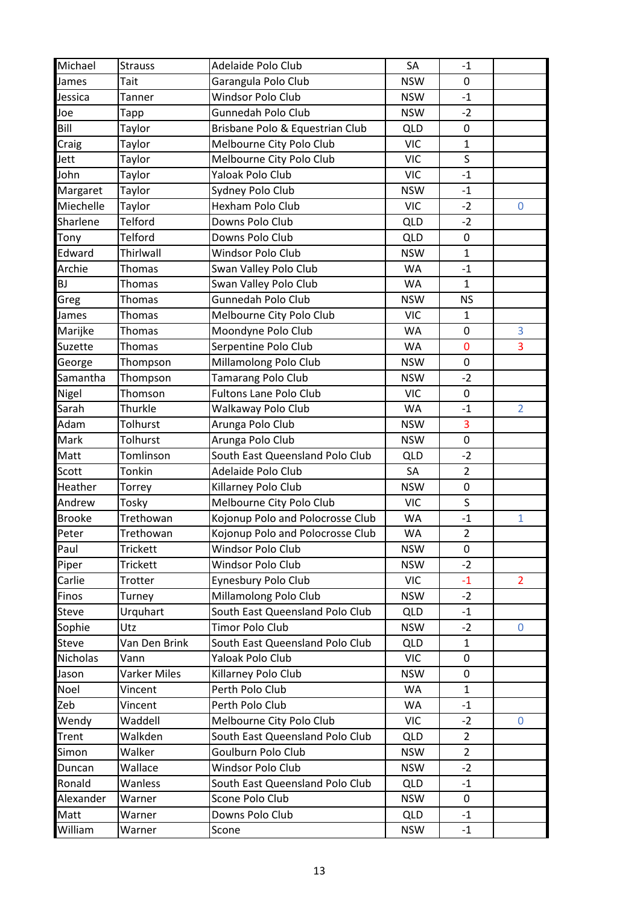| Michael       | <b>Strauss</b>  | Adelaide Polo Club               | SA         | $-1$           |                |
|---------------|-----------------|----------------------------------|------------|----------------|----------------|
| James         | Tait            | Garangula Polo Club              | <b>NSW</b> | 0              |                |
| Jessica       | Tanner          | Windsor Polo Club                | <b>NSW</b> | $-1$           |                |
| Joe           | Tapp            | Gunnedah Polo Club               | <b>NSW</b> | $-2$           |                |
| Bill          | Taylor          | Brisbane Polo & Equestrian Club  | <b>QLD</b> | $\pmb{0}$      |                |
| Craig         | Taylor          | Melbourne City Polo Club         | <b>VIC</b> | $\mathbf{1}$   |                |
| Jett          | Taylor          | Melbourne City Polo Club         | <b>VIC</b> | $\sf S$        |                |
| John          | Taylor          | Yaloak Polo Club                 | <b>VIC</b> | $-1$           |                |
| Margaret      | Taylor          | Sydney Polo Club                 | <b>NSW</b> | $-1$           |                |
| Miechelle     | Taylor          | Hexham Polo Club                 | <b>VIC</b> | $-2$           | $\pmb{0}$      |
| Sharlene      | Telford         | Downs Polo Club                  | <b>QLD</b> | $-2$           |                |
| Tony          | Telford         | Downs Polo Club                  | <b>QLD</b> | $\pmb{0}$      |                |
| Edward        | Thirlwall       | Windsor Polo Club                | <b>NSW</b> | $\mathbf{1}$   |                |
| Archie        | Thomas          | Swan Valley Polo Club            | WA         | $-1$           |                |
| BJ            | <b>Thomas</b>   | Swan Valley Polo Club            | WA         | $\mathbf{1}$   |                |
| Greg          | <b>Thomas</b>   | Gunnedah Polo Club               | <b>NSW</b> | <b>NS</b>      |                |
| James         | Thomas          | Melbourne City Polo Club         | <b>VIC</b> | $\mathbf{1}$   |                |
| Marijke       | Thomas          | Moondyne Polo Club               | WA         | 0              | 3              |
| Suzette       | <b>Thomas</b>   | Serpentine Polo Club             | WA         | 0              | 3              |
| George        | Thompson        | Millamolong Polo Club            | <b>NSW</b> | $\pmb{0}$      |                |
| Samantha      | Thompson        | Tamarang Polo Club               | <b>NSW</b> | $-2$           |                |
| Nigel         | Thomson         | <b>Fultons Lane Polo Club</b>    | <b>VIC</b> | $\pmb{0}$      |                |
| Sarah         | Thurkle         | Walkaway Polo Club               | WA         | $-1$           | $\overline{2}$ |
| Adam          | Tolhurst        | Arunga Polo Club                 | <b>NSW</b> | 3              |                |
| Mark          | Tolhurst        | Arunga Polo Club                 | <b>NSW</b> | $\pmb{0}$      |                |
| Matt          | Tomlinson       | South East Queensland Polo Club  | <b>QLD</b> | $-2$           |                |
| Scott         | Tonkin          | Adelaide Polo Club               | SA         | $\overline{2}$ |                |
| Heather       | Torrey          | Killarney Polo Club              | <b>NSW</b> | $\mathbf 0$    |                |
| Andrew        | Tosky           | Melbourne City Polo Club         | <b>VIC</b> | S              |                |
| <b>Brooke</b> | Trethowan       | Kojonup Polo and Polocrosse Club | WA         | $-1$           | $\mathbf 1$    |
| Peter         | Trethowan       | Kojonup Polo and Polocrosse Club | <b>WA</b>  | $\overline{2}$ |                |
| Paul          | <b>Trickett</b> | Windsor Polo Club                | <b>NSW</b> | 0              |                |
| Piper         | <b>Trickett</b> | <b>Windsor Polo Club</b>         | <b>NSW</b> | $-2$           |                |
| Carlie        | Trotter         | Eynesbury Polo Club              | <b>VIC</b> | $-1$           | $\overline{2}$ |
| Finos         | Turney          | Millamolong Polo Club            | <b>NSW</b> | $-2$           |                |
| <b>Steve</b>  | Urquhart        | South East Queensland Polo Club  | <b>QLD</b> | $-1$           |                |
| Sophie        | Utz             | <b>Timor Polo Club</b>           | <b>NSW</b> | $-2$           | $\mathbf 0$    |
| Steve         | Van Den Brink   | South East Queensland Polo Club  | <b>QLD</b> | $\mathbf{1}$   |                |
| Nicholas      | Vann            | Yaloak Polo Club                 | <b>VIC</b> | 0              |                |
| Jason         | Varker Miles    | Killarney Polo Club              | <b>NSW</b> | 0              |                |
| Noel          | Vincent         | Perth Polo Club                  | WA         | $\mathbf{1}$   |                |
| Zeb           | Vincent         | Perth Polo Club                  | WA         | $-1$           |                |
| Wendy         | Waddell         | Melbourne City Polo Club         | <b>VIC</b> | $-2$           | 0              |
| Trent         | Walkden         | South East Queensland Polo Club  | <b>QLD</b> | $\overline{2}$ |                |
| Simon         | Walker          | Goulburn Polo Club               | <b>NSW</b> | $\overline{2}$ |                |
| Duncan        | Wallace         | Windsor Polo Club                | <b>NSW</b> | $-2$           |                |
| Ronald        | Wanless         | South East Queensland Polo Club  | <b>QLD</b> | $-1$           |                |
| Alexander     | Warner          | Scone Polo Club                  | <b>NSW</b> | $\mathbf 0$    |                |
| Matt          | Warner          | Downs Polo Club                  | <b>QLD</b> | $-1$           |                |
| William       | Warner          | Scone                            | <b>NSW</b> | $-1$           |                |